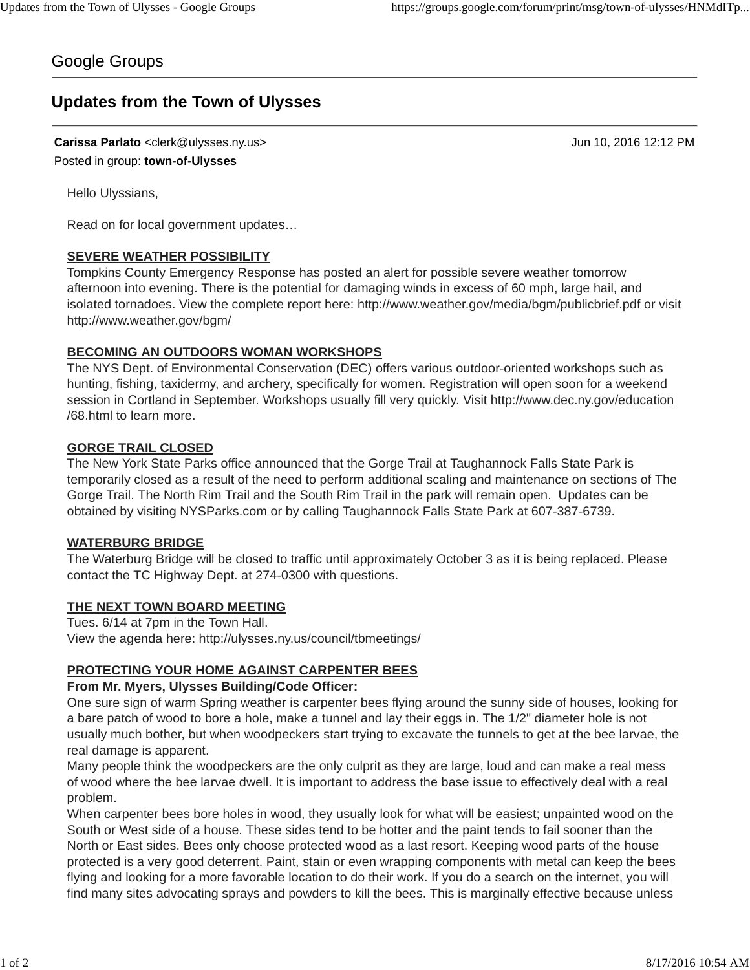## Google Groups

# **Updates from the Town of Ulysses**

**Carissa Parlato** <clerk@ulysses.ny.us> Jun 10, 2016 12:12 PM Posted in group: **town-of-Ulysses**

Hello Ulyssians,

Read on for local government updates…

#### **SEVERE WEATHER POSSIBILITY**

Tompkins County Emergency Response has posted an alert for possible severe weather tomorrow afternoon into evening. There is the potential for damaging winds in excess of 60 mph, large hail, and isolated tornadoes. View the complete report here: http://www.weather.gov/media/bgm/publicbrief.pdf or visit http://www.weather.gov/bgm/

#### **BECOMING AN OUTDOORS WOMAN WORKSHOPS**

The NYS Dept. of Environmental Conservation (DEC) offers various outdoor-oriented workshops such as hunting, fishing, taxidermy, and archery, specifically for women. Registration will open soon for a weekend session in Cortland in September. Workshops usually fill very quickly. Visit http://www.dec.ny.gov/education /68.html to learn more.

#### **GORGE TRAIL CLOSED**

The New York State Parks office announced that the Gorge Trail at Taughannock Falls State Park is temporarily closed as a result of the need to perform additional scaling and maintenance on sections of The Gorge Trail. The North Rim Trail and the South Rim Trail in the park will remain open. Updates can be obtained by visiting NYSParks.com or by calling Taughannock Falls State Park at 607-387-6739.

#### **WATERBURG BRIDGE**

The Waterburg Bridge will be closed to traffic until approximately October 3 as it is being replaced. Please contact the TC Highway Dept. at 274-0300 with questions.

#### **THE NEXT TOWN BOARD MEETING**

Tues. 6/14 at 7pm in the Town Hall. View the agenda here: http://ulysses.ny.us/council/tbmeetings/

#### **PROTECTING YOUR HOME AGAINST CARPENTER BEES**

#### **From Mr. Myers, Ulysses Building/Code Officer:**

One sure sign of warm Spring weather is carpenter bees flying around the sunny side of houses, looking for a bare patch of wood to bore a hole, make a tunnel and lay their eggs in. The 1/2" diameter hole is not usually much bother, but when woodpeckers start trying to excavate the tunnels to get at the bee larvae, the real damage is apparent.

Many people think the woodpeckers are the only culprit as they are large, loud and can make a real mess of wood where the bee larvae dwell. It is important to address the base issue to effectively deal with a real problem.

When carpenter bees bore holes in wood, they usually look for what will be easiest; unpainted wood on the South or West side of a house. These sides tend to be hotter and the paint tends to fail sooner than the North or East sides. Bees only choose protected wood as a last resort. Keeping wood parts of the house protected is a very good deterrent. Paint, stain or even wrapping components with metal can keep the bees flying and looking for a more favorable location to do their work. If you do a search on the internet, you will find many sites advocating sprays and powders to kill the bees. This is marginally effective because unless